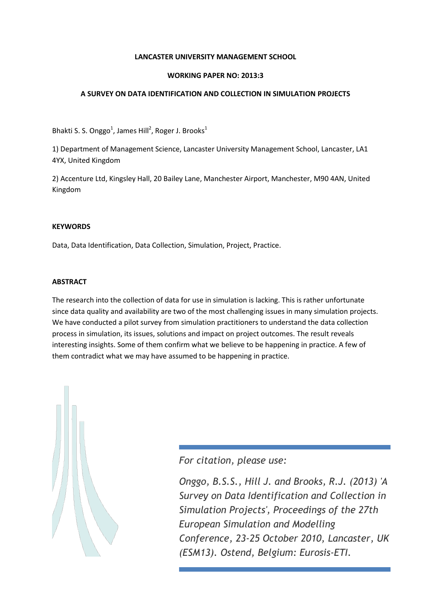# **LANCASTER UNIVERSITY MANAGEMENT SCHOOL**

# **WORKING PAPER NO: 2013:3**

# **A SURVEY ON DATA IDENTIFICATION AND COLLECTION IN SIMULATION PROJECTS**

Bhakti S. S. Onggo<sup>1</sup>, James Hill<sup>2</sup>, Roger J. Brooks<sup>1</sup>

1) Department of Management Science, Lancaster University Management School, Lancaster, LA1 4YX, United Kingdom

2) Accenture Ltd, Kingsley Hall, 20 Bailey Lane, Manchester Airport, Manchester, M90 4AN, United Kingdom

#### **KEYWORDS**

Data, Data Identification, Data Collection, Simulation, Project, Practice.

#### **ABSTRACT**

The research into the collection of data for use in simulation is lacking. This is rather unfortunate since data quality and availability are two of the most challenging issues in many simulation projects. We have conducted a pilot survey from simulation practitioners to understand the data collection process in simulation, its issues, solutions and impact on project outcomes. The result reveals interesting insights. Some of them confirm what we believe to be happening in practice. A few of them contradict what we may have assumed to be happening in practice.



*For citation, please use:*

*Onggo, B.S.S., Hill J. and Brooks, R.J. (2013) 'A Survey on Data Identification and Collection in Simulation Projects', Proceedings of the 27th European Simulation and Modelling Conference, 23-25 October 2010, Lancaster, UK (ESM13). Ostend, Belgium: Eurosis-ETI.*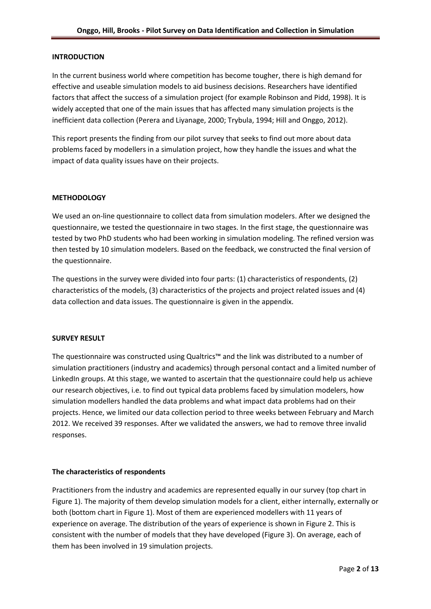#### **INTRODUCTION**

In the current business world where competition has become tougher, there is high demand for effective and useable simulation models to aid business decisions. Researchers have identified factors that affect the success of a simulation project (for example Robinson and Pidd, 1998). It is widely accepted that one of the main issues that has affected many simulation projects is the inefficient data collection (Perera and Liyanage, 2000; Trybula, 1994; Hill and Onggo, 2012).

This report presents the finding from our pilot survey that seeks to find out more about data problems faced by modellers in a simulation project, how they handle the issues and what the impact of data quality issues have on their projects.

#### **METHODOLOGY**

We used an on-line questionnaire to collect data from simulation modelers. After we designed the questionnaire, we tested the questionnaire in two stages. In the first stage, the questionnaire was tested by two PhD students who had been working in simulation modeling. The refined version was then tested by 10 simulation modelers. Based on the feedback, we constructed the final version of the questionnaire.

The questions in the survey were divided into four parts: (1) characteristics of respondents, (2) characteristics of the models, (3) characteristics of the projects and project related issues and (4) data collection and data issues. The questionnaire is given in the appendix.

# **SURVEY RESULT**

The questionnaire was constructed using Qualtrics™ and the link was distributed to a number of simulation practitioners (industry and academics) through personal contact and a limited number of LinkedIn groups. At this stage, we wanted to ascertain that the questionnaire could help us achieve our research objectives, i.e. to find out typical data problems faced by simulation modelers, how simulation modellers handled the data problems and what impact data problems had on their projects. Hence, we limited our data collection period to three weeks between February and March 2012. We received 39 responses. After we validated the answers, we had to remove three invalid responses.

# **The characteristics of respondents**

Practitioners from the industry and academics are represented equally in our survey (top chart in Figure 1). The majority of them develop simulation models for a client, either internally, externally or both (bottom chart in Figure 1). Most of them are experienced modellers with 11 years of experience on average. The distribution of the years of experience is shown in Figure 2. This is consistent with the number of models that they have developed (Figure 3). On average, each of them has been involved in 19 simulation projects.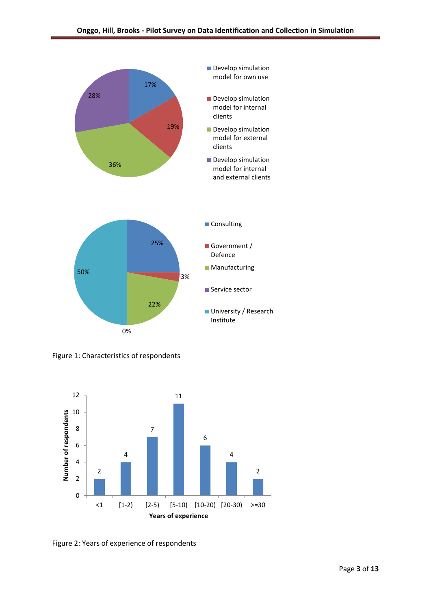

Figure 1: Characteristics of respondents



Figure 2: Years of experience of respondents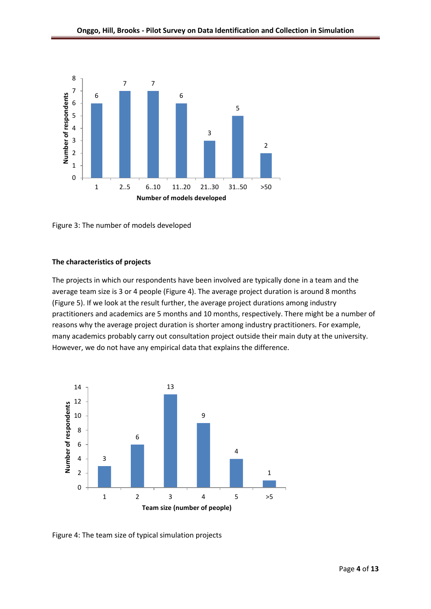

Figure 3: The number of models developed

#### **The characteristics of projects**

The projects in which our respondents have been involved are typically done in a team and the average team size is 3 or 4 people (Figure 4). The average project duration is around 8 months (Figure 5). If we look at the result further, the average project durations among industry practitioners and academics are 5 months and 10 months, respectively. There might be a number of reasons why the average project duration is shorter among industry practitioners. For example, many academics probably carry out consultation project outside their main duty at the university. However, we do not have any empirical data that explains the difference.



Figure 4: The team size of typical simulation projects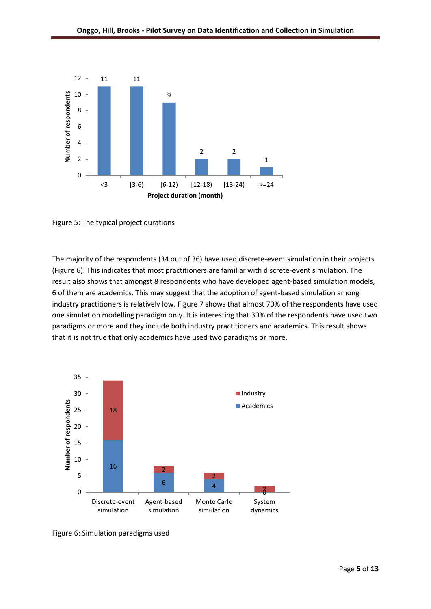

Figure 5: The typical project durations

The majority of the respondents (34 out of 36) have used discrete-event simulation in their projects (Figure 6). This indicates that most practitioners are familiar with discrete-event simulation. The result also shows that amongst 8 respondents who have developed agent-based simulation models, 6 of them are academics. This may suggest that the adoption of agent-based simulation among industry practitioners is relatively low. Figure 7 shows that almost 70% of the respondents have used one simulation modelling paradigm only. It is interesting that 30% of the respondents have used two paradigms or more and they include both industry practitioners and academics. This result shows that it is not true that only academics have used two paradigms or more.



Figure 6: Simulation paradigms used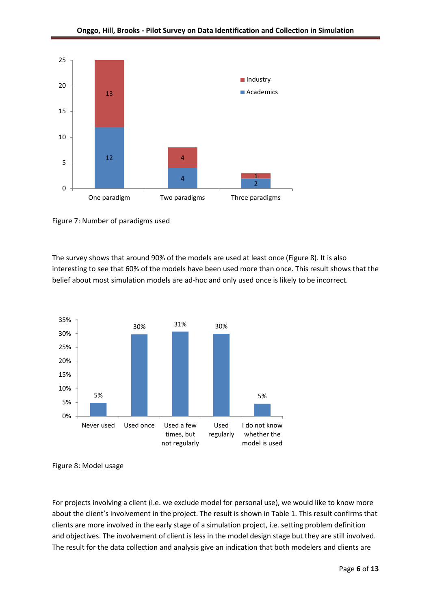

Figure 7: Number of paradigms used

The survey shows that around 90% of the models are used at least once (Figure 8). It is also interesting to see that 60% of the models have been used more than once. This result shows that the belief about most simulation models are ad-hoc and only used once is likely to be incorrect.





For projects involving a client (i.e. we exclude model for personal use), we would like to know more about the client's involvement in the project. The result is shown in Table 1. This result confirms that clients are more involved in the early stage of a simulation project, i.e. setting problem definition and objectives. The involvement of client is less in the model design stage but they are still involved. The result for the data collection and analysis give an indication that both modelers and clients are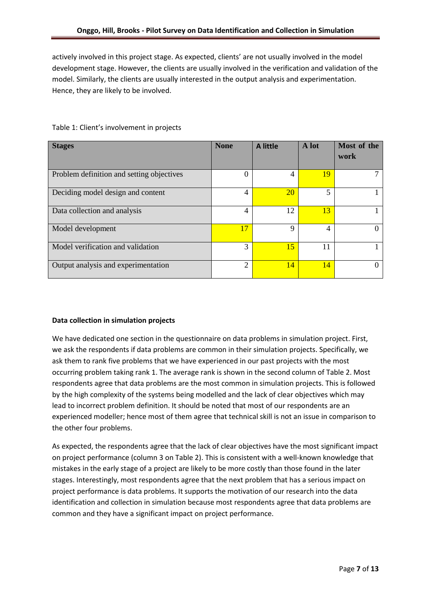actively involved in this project stage. As expected, clients' are not usually involved in the model development stage. However, the clients are usually involved in the verification and validation of the model. Similarly, the clients are usually interested in the output analysis and experimentation. Hence, they are likely to be involved.

| <b>Stages</b>                             | <b>None</b>    | A little    | A lot | Most of the<br>work |
|-------------------------------------------|----------------|-------------|-------|---------------------|
| Problem definition and setting objectives | 0              | 4           | 19    |                     |
| Deciding model design and content         | 4              | <b>20</b>   | 5     |                     |
| Data collection and analysis              | 4              | 12          | 13    |                     |
| Model development                         | 17             | $\mathbf Q$ | 4     | 0                   |
| Model verification and validation         | 3              | 15          | 11    |                     |
| Output analysis and experimentation       | $\overline{c}$ | 14          | 14    | 0                   |

### Table 1: Client's involvement in projects

# **Data collection in simulation projects**

We have dedicated one section in the questionnaire on data problems in simulation project. First, we ask the respondents if data problems are common in their simulation projects. Specifically, we ask them to rank five problems that we have experienced in our past projects with the most occurring problem taking rank 1. The average rank is shown in the second column of Table 2. Most respondents agree that data problems are the most common in simulation projects. This is followed by the high complexity of the systems being modelled and the lack of clear objectives which may lead to incorrect problem definition. It should be noted that most of our respondents are an experienced modeller; hence most of them agree that technical skill is not an issue in comparison to the other four problems.

As expected, the respondents agree that the lack of clear objectives have the most significant impact on project performance (column 3 on Table 2). This is consistent with a well-known knowledge that mistakes in the early stage of a project are likely to be more costly than those found in the later stages. Interestingly, most respondents agree that the next problem that has a serious impact on project performance is data problems. It supports the motivation of our research into the data identification and collection in simulation because most respondents agree that data problems are common and they have a significant impact on project performance.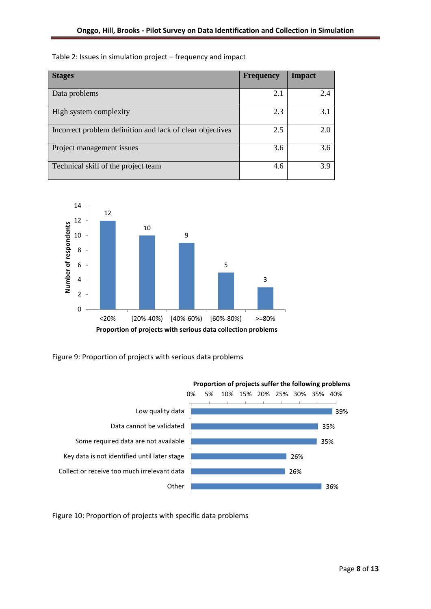Table 2: Issues in simulation project – frequency and impact

| <b>Stages</b>                                             | <b>Frequency</b> | <b>Impact</b> |
|-----------------------------------------------------------|------------------|---------------|
|                                                           |                  |               |
| Data problems                                             | 2.1              | 2.4           |
| High system complexity                                    | 2.3              | 3.1           |
| Incorrect problem definition and lack of clear objectives | 2.5              | 2.0           |
| Project management issues                                 | 3.6              | 3.6           |
| Technical skill of the project team                       | 4.6              | 3.9           |



Figure 9: Proportion of projects with serious data problems



**Proportion of projects suffer the following problems**

Figure 10: Proportion of projects with specific data problems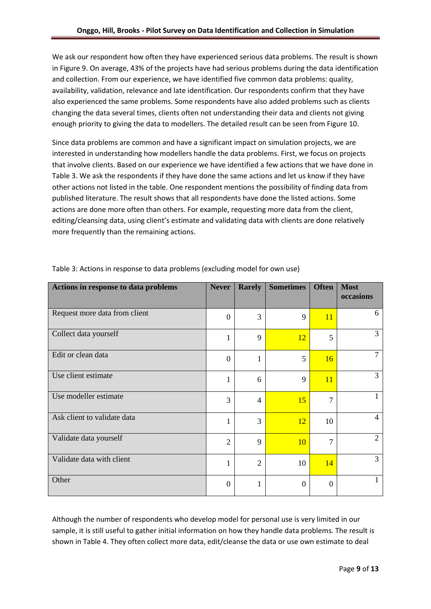We ask our respondent how often they have experienced serious data problems. The result is shown in Figure 9. On average, 43% of the projects have had serious problems during the data identification and collection. From our experience, we have identified five common data problems: quality, availability, validation, relevance and late identification. Our respondents confirm that they have also experienced the same problems. Some respondents have also added problems such as clients changing the data several times, clients often not understanding their data and clients not giving enough priority to giving the data to modellers. The detailed result can be seen from Figure 10.

Since data problems are common and have a significant impact on simulation projects, we are interested in understanding how modellers handle the data problems. First, we focus on projects that involve clients. Based on our experience we have identified a few actions that we have done in Table 3. We ask the respondents if they have done the same actions and let us know if they have other actions not listed in the table. One respondent mentions the possibility of finding data from published literature. The result shows that all respondents have done the listed actions. Some actions are done more often than others. For example, requesting more data from the client, editing/cleansing data, using client's estimate and validating data with clients are done relatively more frequently than the remaining actions.

| Actions in response to data problems | <b>Never</b>     | <b>Rarely</b>  | <b>Sometimes</b> | <b>Often</b> | <b>Most</b><br>occasions |
|--------------------------------------|------------------|----------------|------------------|--------------|--------------------------|
| Request more data from client        | $\overline{0}$   | 3              | $\mathbf{Q}$     | <b>11</b>    | 6                        |
| Collect data yourself                | $\mathbf{1}$     | 9              | 12               | 5            | 3                        |
| Edit or clean data                   | $\mathbf{0}$     |                | 5                | 16           | 7                        |
| Use client estimate                  | $\mathbf{1}$     | 6              | 9                | <b>11</b>    | $\overline{3}$           |
| Use modeller estimate                | 3                | 4              | 15               | 7            |                          |
| Ask client to validate data          | $\mathbf{1}$     | 3              | 12               | 10           | $\overline{4}$           |
| Validate data yourself               | $\overline{2}$   | 9              | 10               | 7            | $\overline{2}$           |
| Validate data with client            | $\mathbf{1}$     | $\overline{2}$ | 10               | 14           | 3                        |
| Other                                | $\boldsymbol{0}$ |                | $\Omega$         | $\theta$     | 1                        |

Table 3: Actions in response to data problems (excluding model for own use)

Although the number of respondents who develop model for personal use is very limited in our sample, it is still useful to gather initial information on how they handle data problems. The result is shown in Table 4. They often collect more data, edit/cleanse the data or use own estimate to deal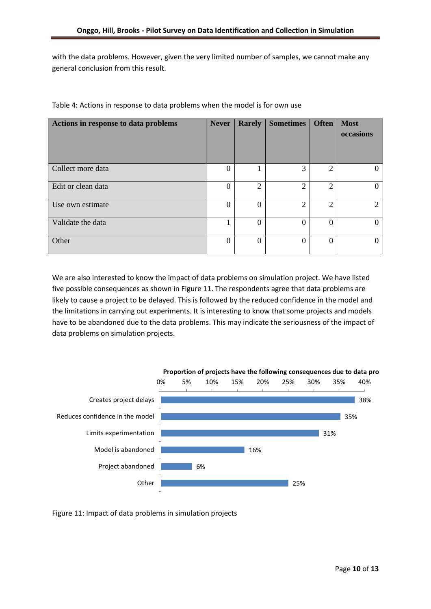with the data problems. However, given the very limited number of samples, we cannot make any general conclusion from this result.

| Actions in response to data problems | <b>Never</b>   | <b>Rarely</b>  | <b>Sometimes</b> | <b>Often</b>  | <b>Most</b><br>occasions |
|--------------------------------------|----------------|----------------|------------------|---------------|--------------------------|
| Collect more data                    | 0              |                | 3                | $\mathcal{D}$ |                          |
| Edit or clean data                   | $\theta$       | $\overline{2}$ | $\overline{2}$   | $\mathcal{D}$ |                          |
| Use own estimate                     | $\theta$       | 0              | $\overline{2}$   | C             |                          |
| Validate the data                    |                | 0              | 0                |               |                          |
| Other                                | $\overline{0}$ | 0              | 0                |               |                          |

Table 4: Actions in response to data problems when the model is for own use

We are also interested to know the impact of data problems on simulation project. We have listed five possible consequences as shown in Figure 11. The respondents agree that data problems are likely to cause a project to be delayed. This is followed by the reduced confidence in the model and the limitations in carrying out experiments. It is interesting to know that some projects and models have to be abandoned due to the data problems. This may indicate the seriousness of the impact of data problems on simulation projects.



Figure 11: Impact of data problems in simulation projects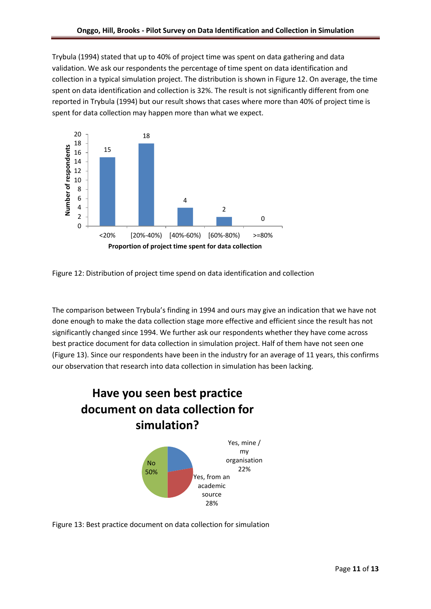Trybula (1994) stated that up to 40% of project time was spent on data gathering and data validation. We ask our respondents the percentage of time spent on data identification and collection in a typical simulation project. The distribution is shown in Figure 12. On average, the time spent on data identification and collection is 32%. The result is not significantly different from one reported in Trybula (1994) but our result shows that cases where more than 40% of project time is spent for data collection may happen more than what we expect.



Figure 12: Distribution of project time spend on data identification and collection

The comparison between Trybula's finding in 1994 and ours may give an indication that we have not done enough to make the data collection stage more effective and efficient since the result has not significantly changed since 1994. We further ask our respondents whether they have come across best practice document for data collection in simulation project. Half of them have not seen one (Figure 13). Since our respondents have been in the industry for an average of 11 years, this confirms our observation that research into data collection in simulation has been lacking.

# **Have you seen best practice document on data collection for simulation?**



Figure 13: Best practice document on data collection for simulation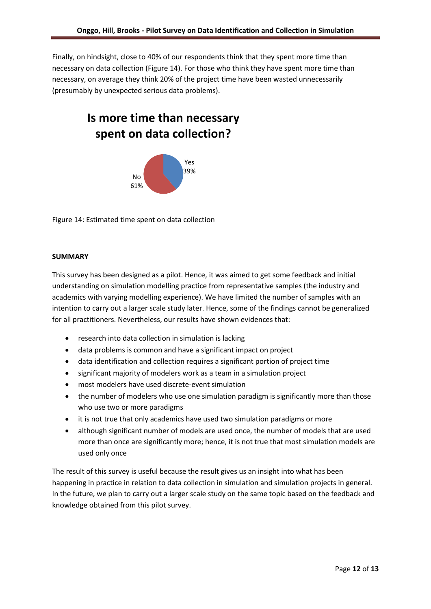Finally, on hindsight, close to 40% of our respondents think that they spent more time than necessary on data collection (Figure 14). For those who think they have spent more time than necessary, on average they think 20% of the project time have been wasted unnecessarily (presumably by unexpected serious data problems).

# **Is more time than necessary spent on data collection?**



Figure 14: Estimated time spent on data collection

# **SUMMARY**

This survey has been designed as a pilot. Hence, it was aimed to get some feedback and initial understanding on simulation modelling practice from representative samples (the industry and academics with varying modelling experience). We have limited the number of samples with an intention to carry out a larger scale study later. Hence, some of the findings cannot be generalized for all practitioners. Nevertheless, our results have shown evidences that:

- research into data collection in simulation is lacking
- data problems is common and have a significant impact on project
- data identification and collection requires a significant portion of project time
- significant majority of modelers work as a team in a simulation project
- most modelers have used discrete-event simulation
- the number of modelers who use one simulation paradigm is significantly more than those who use two or more paradigms
- it is not true that only academics have used two simulation paradigms or more
- although significant number of models are used once, the number of models that are used more than once are significantly more; hence, it is not true that most simulation models are used only once

The result of this survey is useful because the result gives us an insight into what has been happening in practice in relation to data collection in simulation and simulation projects in general. In the future, we plan to carry out a larger scale study on the same topic based on the feedback and knowledge obtained from this pilot survey.